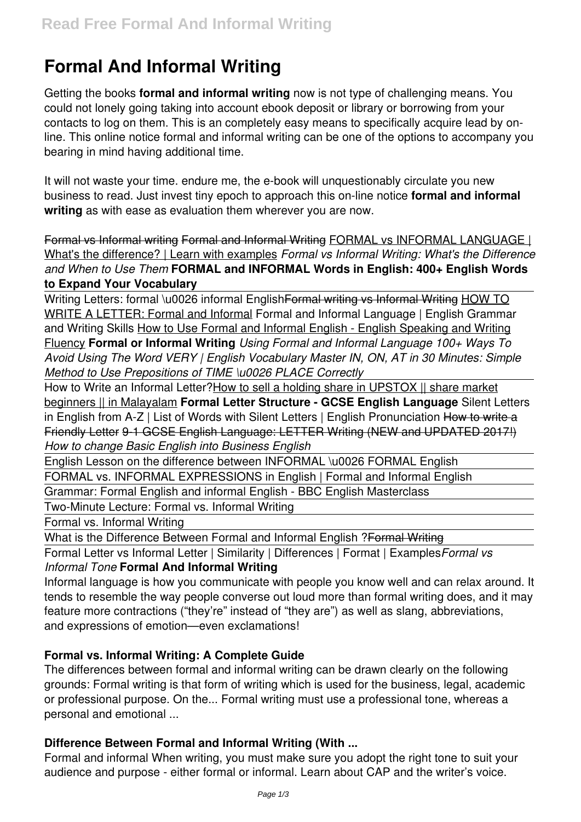# **Formal And Informal Writing**

Getting the books **formal and informal writing** now is not type of challenging means. You could not lonely going taking into account ebook deposit or library or borrowing from your contacts to log on them. This is an completely easy means to specifically acquire lead by online. This online notice formal and informal writing can be one of the options to accompany you bearing in mind having additional time.

It will not waste your time. endure me, the e-book will unquestionably circulate you new business to read. Just invest tiny epoch to approach this on-line notice **formal and informal writing** as with ease as evaluation them wherever you are now.

Formal vs Informal writing Formal and Informal Writing FORMAL vs INFORMAL LANGUAGE | What's the difference? | Learn with examples *Formal vs Informal Writing: What's the Difference and When to Use Them* **FORMAL and INFORMAL Words in English: 400+ English Words to Expand Your Vocabulary**

Writing Letters: formal \u0026 informal English<del>Formal writing vs Informal Writing</del> HOW TO WRITE A LETTER: Formal and Informal Formal and Informal Language | English Grammar and Writing Skills How to Use Formal and Informal English - English Speaking and Writing Fluency **Formal or Informal Writing** *Using Formal and Informal Language 100+ Ways To Avoid Using The Word VERY | English Vocabulary Master IN, ON, AT in 30 Minutes: Simple Method to Use Prepositions of TIME \u0026 PLACE Correctly*

How to Write an Informal Letter?How to sell a holding share in UPSTOX || share market beginners || in Malayalam **Formal Letter Structure - GCSE English Language** Silent Letters in English from A-Z | List of Words with Silent Letters | English Pronunciation How to write a Friendly Letter 9-1 GCSE English Language: LETTER Writing (NEW and UPDATED 2017!) *How to change Basic English into Business English*

English Lesson on the difference between INFORMAL \u0026 FORMAL English

FORMAL vs. INFORMAL EXPRESSIONS in English | Formal and Informal English

Grammar: Formal English and informal English - BBC English Masterclass

Two-Minute Lecture: Formal vs. Informal Writing

Formal vs. Informal Writing

What is the Difference Between Formal and Informal English ?Formal Writing

Formal Letter vs Informal Letter | Similarity | Differences | Format | Examples*Formal vs Informal Tone* **Formal And Informal Writing**

Informal language is how you communicate with people you know well and can relax around. It tends to resemble the way people converse out loud more than formal writing does, and it may feature more contractions ("they're" instead of "they are") as well as slang, abbreviations, and expressions of emotion—even exclamations!

# **Formal vs. Informal Writing: A Complete Guide**

The differences between formal and informal writing can be drawn clearly on the following grounds: Formal writing is that form of writing which is used for the business, legal, academic or professional purpose. On the... Formal writing must use a professional tone, whereas a personal and emotional ...

# **Difference Between Formal and Informal Writing (With ...**

Formal and informal When writing, you must make sure you adopt the right tone to suit your audience and purpose - either formal or informal. Learn about CAP and the writer's voice.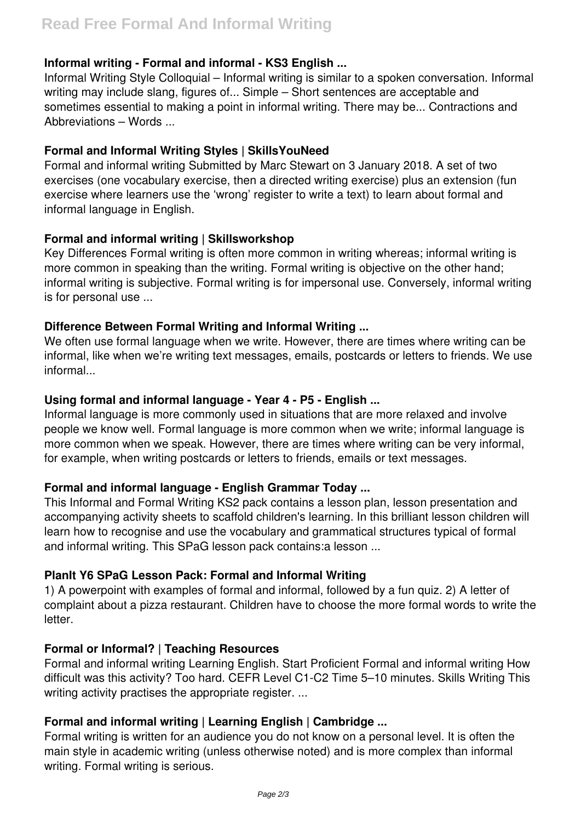# **Informal writing - Formal and informal - KS3 English ...**

Informal Writing Style Colloquial – Informal writing is similar to a spoken conversation. Informal writing may include slang, figures of... Simple – Short sentences are acceptable and sometimes essential to making a point in informal writing. There may be... Contractions and Abbreviations – Words ...

## **Formal and Informal Writing Styles | SkillsYouNeed**

Formal and informal writing Submitted by Marc Stewart on 3 January 2018. A set of two exercises (one vocabulary exercise, then a directed writing exercise) plus an extension (fun exercise where learners use the 'wrong' register to write a text) to learn about formal and informal language in English.

# **Formal and informal writing | Skillsworkshop**

Key Differences Formal writing is often more common in writing whereas; informal writing is more common in speaking than the writing. Formal writing is objective on the other hand; informal writing is subjective. Formal writing is for impersonal use. Conversely, informal writing is for personal use ...

#### **Difference Between Formal Writing and Informal Writing ...**

We often use formal language when we write. However, there are times where writing can be informal, like when we're writing text messages, emails, postcards or letters to friends. We use informal...

# **Using formal and informal language - Year 4 - P5 - English ...**

Informal language is more commonly used in situations that are more relaxed and involve people we know well. Formal language is more common when we write; informal language is more common when we speak. However, there are times where writing can be very informal, for example, when writing postcards or letters to friends, emails or text messages.

#### **Formal and informal language - English Grammar Today ...**

This Informal and Formal Writing KS2 pack contains a lesson plan, lesson presentation and accompanying activity sheets to scaffold children's learning. In this brilliant lesson children will learn how to recognise and use the vocabulary and grammatical structures typical of formal and informal writing. This SPaG lesson pack contains:a lesson ...

#### **PlanIt Y6 SPaG Lesson Pack: Formal and Informal Writing**

1) A powerpoint with examples of formal and informal, followed by a fun quiz. 2) A letter of complaint about a pizza restaurant. Children have to choose the more formal words to write the letter.

#### **Formal or Informal? | Teaching Resources**

Formal and informal writing Learning English. Start Proficient Formal and informal writing How difficult was this activity? Too hard. CEFR Level C1-C2 Time 5–10 minutes. Skills Writing This writing activity practises the appropriate register. ...

#### **Formal and informal writing | Learning English | Cambridge ...**

Formal writing is written for an audience you do not know on a personal level. It is often the main style in academic writing (unless otherwise noted) and is more complex than informal writing. Formal writing is serious.